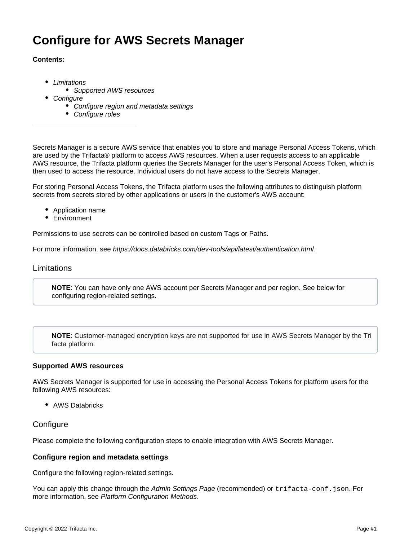# **Configure for AWS Secrets Manager**

## **Contents:**

- [Limitations](#page-0-0)
	- [Supported AWS resources](#page-0-1)
	- **[Configure](#page-0-2)** 
		- [Configure region and metadata settings](#page-0-3)
		- [Configure roles](#page-1-0)

Secrets Manager is a secure AWS service that enables you to store and manage Personal Access Tokens, which are used by the Trifacta® platform to access AWS resources. When a user requests access to an applicable AWS resource, the Trifacta platform queries the Secrets Manager for the user's Personal Access Token, which is then used to access the resource. Individual users do not have access to the Secrets Manager.

For storing Personal Access Tokens, the Trifacta platform uses the following attributes to distinguish platform secrets from secrets stored by other applications or users in the customer's AWS account:

- Application name
- Environment

Permissions to use secrets can be controlled based on custom Tags or Paths.

For more information, see <https://docs.databricks.com/dev-tools/api/latest/authentication.html>.

## <span id="page-0-0"></span>Limitations

**NOTE**: You can have only one AWS account per Secrets Manager and per region. See below for configuring region-related settings.

**NOTE**: Customer-managed encryption keys are not supported for use in AWS Secrets Manager by the Tri facta platform.

## <span id="page-0-1"></span>**Supported AWS resources**

AWS Secrets Manager is supported for use in accessing the Personal Access Tokens for platform users for the following AWS resources:

• AWS Databricks

# <span id="page-0-2"></span>**Configure**

Please complete the following configuration steps to enable integration with AWS Secrets Manager.

## <span id="page-0-3"></span>**Configure region and metadata settings**

Configure the following region-related settings.

You can apply this change through the [Admin Settings Page](https://docs.trifacta.com/display/r082/Admin+Settings+Page) (recommended) or trifacta-conf.json. For more information, see [Platform Configuration Methods](https://docs.trifacta.com/display/r082/Platform+Configuration+Methods).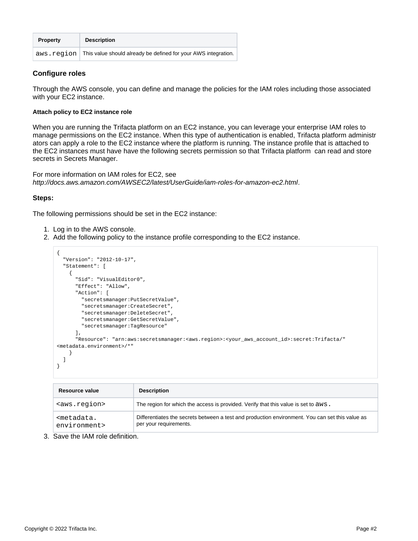| <b>Property</b> | <b>Description</b>                                             |
|-----------------|----------------------------------------------------------------|
| aws.region      | This value should already be defined for your AWS integration. |

# <span id="page-1-0"></span>**Configure roles**

Through the AWS console, you can define and manage the policies for the IAM roles including those associated with your EC2 instance.

#### **Attach policy to EC2 instance role**

When you are running the Trifacta platform on an EC2 instance, you can leverage your enterprise IAM roles to manage permissions on the EC2 instance. When this type of authentication is enabled, Trifacta platform administr ators can apply a role to the EC2 instance where the platform is running. The instance profile that is attached to the EC2 instances must have have the following secrets permission so that Trifacta platform can read and store secrets in Secrets Manager.

For more information on IAM roles for EC2, see <http://docs.aws.amazon.com/AWSEC2/latest/UserGuide/iam-roles-for-amazon-ec2.html>.

## **Steps:**

The following permissions should be set in the EC2 instance:

- 1. Log in to the AWS console.
- 2. Add the following policy to the instance profile corresponding to the EC2 instance.

```
{
   "Version": "2012-10-17",
   "Statement": [
    {
       "Sid": "VisualEditor0",
       "Effect": "Allow",
       "Action": [
         "secretsmanager:PutSecretValue",
         "secretsmanager:CreateSecret",
         "secretsmanager:DeleteSecret",
         "secretsmanager:GetSecretValue",
         "secretsmanager:TagResource"
       ],
       "Resource": "arn:aws:secretsmanager:<aws.region>:<your_aws_account_id>:secret:Trifacta/"
<metadata.environment>/*"
     }
  ]
}
```

| Resource value                               | <b>Description</b>                                                                                                        |
|----------------------------------------------|---------------------------------------------------------------------------------------------------------------------------|
| <aws.region></aws.region>                    | The region for which the access is provided. Verify that this value is set to aws.                                        |
| <metadata.<br>environment&gt;</metadata.<br> | Differentiates the secrets between a test and production environment. You can set this value as<br>per your requirements. |

3. Save the IAM role definition.